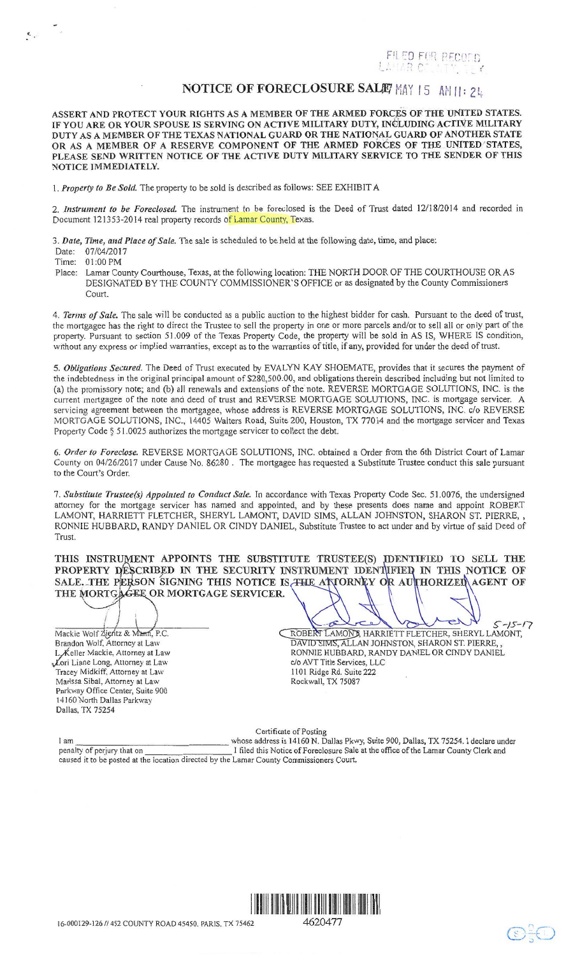FOR RECOI *{'* . t' ,,

## NOTICE OF FORECLOSURE SALIE MAY 15 AM 11: 2 ti.

ASSERT AND PROTECT YOUR RIGHTS AS A MEMBER OF THE ARMED FORCES OF THE UNITED STATES. IF YOU ARE OR YOUR SPOUSE IS SERVING ON ACTIVE MILITARY DUTY, INCLUDING ACTIVE MILITARY DUTY AS A MEMBER OF THE TEXAS NATIONAL GUARD OR THE NATIONAL GUARD OF ANOTHER STATE OR AS A MEMBER OF A RESERVE COMPONENT OF THE ARMED FORCES OF THE UNITED STATES, PLEASE SEND WRITTEN NOTICE OF THE ACTIVE DUTY MILITARY SERVICE TO THE SENDER OF THIS NOTICE IMMEDIATELY.

I. *Property to Be Sold.* The property to be sold is described as follows: SEE EXHIBIT A

2. *Instrument to be Foreclosed.* The instrument to be foreclosed is the Deed of Trust dated 12118/2014 and recorded in Document 121353-2014 real property records of Lamar County, Texas.

3. *Date, Time, and Place of Sale.* The sale is scheduled to be held at the following date, time, and place:

Date: 07/04/2017

Time: 01 :00 PM

 $\epsilon$ .

 Place: Lamar County Courthouse, Texas, at the following location: THE NORTH DOOR OF THE COURTHOUSE OR AS DESIGNATED BY THE COUNTY COMMISSIONER'S OFFICE or as designated by the County Commissioners Court.

4. *Terms of Sale.* The sale will be conducted as a public auction to the highest bidder for cash. Pursuant to the deed of trust, the mortgagee has the right to direct the Trustee to sell the property in one or more parcels and/or to sell all or only part of the property. Pursuant to section 51.009 of the Texas Property Code, the property will be sold in AS IS, WHERE IS condition, without any express or implied warranties, except as to the warranties of title, if any, provided for under the deed of trust.

5. *Obligations Secured.* The Deed of Trust executed by EVALYN KAY SHOEMATE, provides that it secures the payment of the indebtedness in the original principal amount of \$280,500.00, and obligations therein described including but not limited to (a) the promissory note; and (b) all renewals and extensions of the note. REVERSE MORTGAGE SOLUTIONS, INC. is the current mortgagee of the note and deed of trust and REVERSE MORTGAGE SOLUTIONS, INC. is mortgage servicer. A servicing agreement between the mortgagee, whose address is REVERSE MORTGAGE SOLUTIONS, INC. c/o REVERSE MORTGAGE SOLUTIONS, INC., 14405 Walters Road, Suite 200, Houston, TX 77014 and the mortgage servicer and Texas Property Code § 51.0025 authorizes the mortgage servicer to collect the debt.

6. *Order to Foreclose.* REVERSE MORTGAGE SOLUTIONS, INC. obtained a Order from the 6th District Court of Lamar County on 04/26/2017 under Cause No. 86280 . The mortgagee has requested a Substitute Trustee conduct this sale pursuant to the Court's Order.

7. *Substitute Trustee(s) Appointed to Conduct Sale.* In accordance with Texas Property Code Sec. 51.0076, the undersigned attorney for the mortgage servicer has named and appointed, and by these presents does name and appoint ROBERT LAMONT, HARRIETT FLETCHER, SHERYL LAMONT, DAVID SIMS, ALLAN JOHNSTON, SHARON ST. PIERRE, , RONNIE HUBBARD, RANDY DANIEL OR CINDY DANIEL, Substitute Trustee to act under and by virtue of said Deed of Trust.

THIS INSTRUMENT APPOINTS THE SUBSTITUTE TRUSTEE(S) PROPERTY DESCRIBED IN THE SECURITY INSTRUMENT SALE. THE PERSON SIGNING THIS NOTICE IS THE ATTORNEY O THE MORTGAGEE OR MORTGAGE SERVICER.

Mackie Wolf Zientz & Mann, P.C. Brandon Wolf, Attorney at Law L, Keller Mackie. Attorney at Law Lori Liane Long, Attorney at Law Tracey Midkiff. Attorney at Law Marissa Sibal, Attorney at Law Parkway Office Center, Suite 900 14160 North Dallas Parkway Dallas, TX 75254

 $5 - 15 - 17$ ROBERT LAMONT, HARRIETT FLETCHER, SHERYL LAMONT, DAVID SIMS, ALLAN JOHNSTON, SHARON ST. PIERRE, RONNIE HUBBARD, RANDY DANIEL OR CINDY DANIEL c/o AVT Title Services, LLC 1101 Ridge Rd. Suite 222 Rockwall, TX 75087

Certificate of Posting I am whose address is 14160 N. Dallas Pkwy, Suite 900, Dallas, TX 75254. I declare under penalty of perjury that on I filed this Notice of Foreclosure Sale at the office of the Lamar County Clerk and caused it to be posted at the location directed by the Lamar County Commissioners Court.